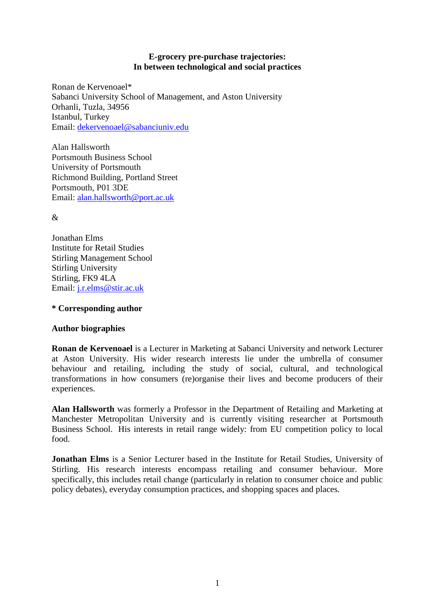## **E-grocery pre-purchase trajectories: In between technological and social practices**

Ronan de Kervenoael\* Sabanci University School of Management, and Aston University Orhanli, Tuzla, 34956 Istanbul, Turkey Email: [dekervenoael@sabanciuniv.edu](mailto:dekervenoael@sabanciuniv.edu)

Alan Hallsworth Portsmouth Business School University of Portsmouth Richmond Building, Portland Street Portsmouth, P01 3DE Email: [alan.hallsworth@port.ac.uk](mailto:alan.hallsworth@port.ac.uk)

 $\mathcal{R}$ 

Jonathan Elms Institute for Retail Studies Stirling Management School Stirling University Stirling, FK9 4LA Email: [j.r.elms@stir.ac.uk](mailto:j.r.elms@stir.ac.uk)

# **\* Corresponding author**

# **Author biographies**

**Ronan de Kervenoael** is a Lecturer in Marketing at Sabanci University and network Lecturer at Aston University. His wider research interests lie under the umbrella of consumer behaviour and retailing, including the study of social, cultural, and technological transformations in how consumers (re)organise their lives and become producers of their experiences.

**Alan Hallsworth** was formerly a Professor in the Department of Retailing and Marketing at Manchester Metropolitan University and is currently visiting researcher at Portsmouth Business School. His interests in retail range widely: from EU competition policy to local food.

**Jonathan Elms** is a Senior Lecturer based in the Institute for Retail Studies, University of Stirling. His research interests encompass retailing and consumer behaviour. More specifically, this includes retail change (particularly in relation to consumer choice and public policy debates), everyday consumption practices, and shopping spaces and places.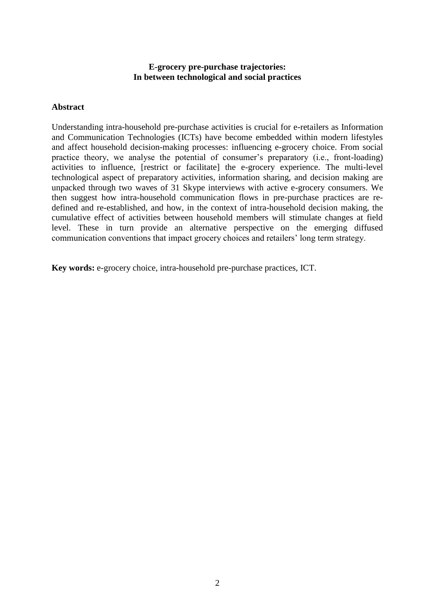## **E-grocery pre-purchase trajectories: In between technological and social practices**

### **Abstract**

Understanding intra-household pre-purchase activities is crucial for e-retailers as Information and Communication Technologies (ICTs) have become embedded within modern lifestyles and affect household decision-making processes: influencing e-grocery choice. From social practice theory, we analyse the potential of consumer's preparatory (i.e., front-loading) activities to influence, [restrict or facilitate] the e-grocery experience. The multi-level technological aspect of preparatory activities, information sharing, and decision making are unpacked through two waves of 31 Skype interviews with active e-grocery consumers. We then suggest how intra-household communication flows in pre-purchase practices are redefined and re-established, and how, in the context of intra-household decision making, the cumulative effect of activities between household members will stimulate changes at field level. These in turn provide an alternative perspective on the emerging diffused communication conventions that impact grocery choices and retailers' long term strategy.

**Key words:** e-grocery choice, intra-household pre-purchase practices, ICT.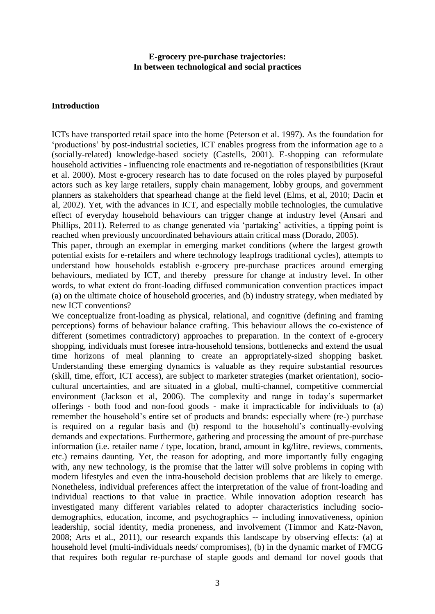## **E-grocery pre-purchase trajectories: In between technological and social practices**

#### **Introduction**

ICTs have transported retail space into the home (Peterson et al. 1997). As the foundation for 'productions' by post-industrial societies, ICT enables progress from the information age to a (socially-related) knowledge-based society (Castells, 2001). E-shopping can reformulate household activities - influencing role enactments and re-negotiation of responsibilities (Kraut et al. 2000). Most e-grocery research has to date focused on the roles played by purposeful actors such as key large retailers, supply chain management, lobby groups, and government planners as stakeholders that spearhead change at the field level (Elms, et al, 2010; Dacin et al, 2002). Yet, with the advances in ICT, and especially mobile technologies, the cumulative effect of everyday household behaviours can trigger change at industry level (Ansari and Phillips, 2011). Referred to as change generated via 'partaking' activities, a tipping point is reached when previously uncoordinated behaviours attain critical mass (Dorado, 2005).

This paper, through an exemplar in emerging market conditions (where the largest growth potential exists for e-retailers and where technology leapfrogs traditional cycles), attempts to understand how households establish e-grocery pre-purchase practices around emerging behaviours, mediated by ICT, and thereby pressure for change at industry level. In other words, to what extent do front-loading diffused communication convention practices impact (a) on the ultimate choice of household groceries, and (b) industry strategy, when mediated by new ICT conventions?

We conceptualize front-loading as physical, relational, and cognitive (defining and framing perceptions) forms of behaviour balance crafting. This behaviour allows the co-existence of different (sometimes contradictory) approaches to preparation. In the context of e-grocery shopping, individuals must foresee intra-household tensions, bottlenecks and extend the usual time horizons of meal planning to create an appropriately-sized shopping basket. Understanding these emerging dynamics is valuable as they require substantial resources (skill, time, effort, ICT access), are subject to marketer strategies (market orientation), sociocultural uncertainties, and are situated in a global, multi-channel, competitive commercial environment (Jackson et al, 2006). The complexity and range in today's supermarket offerings - both food and non-food goods - make it impracticable for individuals to (a) remember the household's entire set of products and brands: especially where (re-) purchase is required on a regular basis and (b) respond to the household's continually-evolving demands and expectations. Furthermore, gathering and processing the amount of pre-purchase information (i.e. retailer name / type, location, brand, amount in kg/litre, reviews, comments, etc.) remains daunting. Yet, the reason for adopting, and more importantly fully engaging with, any new technology, is the promise that the latter will solve problems in coping with modern lifestyles and even the intra-household decision problems that are likely to emerge. Nonetheless, individual preferences affect the interpretation of the value of front-loading and individual reactions to that value in practice. While innovation adoption research has investigated many different variables related to adopter characteristics including sociodemographics, education, income, and psychographics -- including innovativeness, opinion leadership, social identity, media proneness, and involvement (Timmor and Katz-Navon, 2008; Arts et al., 2011), our research expands this landscape by observing effects: (a) at household level (multi-individuals needs/ compromises), (b) in the dynamic market of FMCG that requires both regular re-purchase of staple goods and demand for novel goods that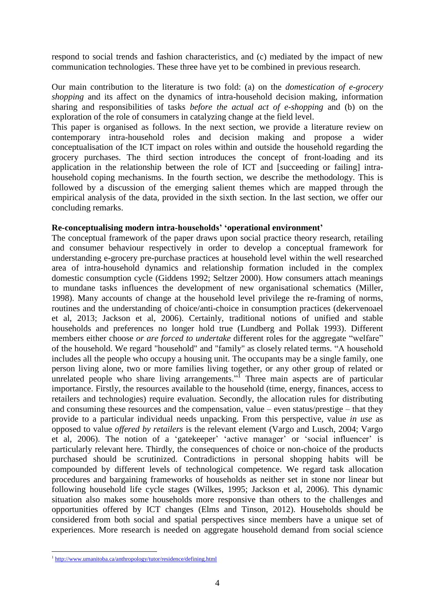respond to social trends and fashion characteristics, and (c) mediated by the impact of new communication technologies. These three have yet to be combined in previous research.

Our main contribution to the literature is two fold: (a) on the *domestication of e-grocery shopping* and its affect on the dynamics of intra-household decision making, information sharing and responsibilities of tasks *before the actual act of e-shopping* and (b) on the exploration of the role of consumers in catalyzing change at the field level.

This paper is organised as follows. In the next section, we provide a literature review on contemporary intra-household roles and decision making and propose a wider conceptualisation of the ICT impact on roles within and outside the household regarding the grocery purchases. The third section introduces the concept of front-loading and its application in the relationship between the role of ICT and [succeeding or failing] intrahousehold coping mechanisms. In the fourth section, we describe the methodology. This is followed by a discussion of the emerging salient themes which are mapped through the empirical analysis of the data, provided in the sixth section. In the last section, we offer our concluding remarks.

### **Re-conceptualising modern intra-households' 'operational environment'**

The conceptual framework of the paper draws upon social practice theory research, retailing and consumer behaviour respectively in order to develop a conceptual framework for understanding e-grocery pre-purchase practices at household level within the well researched area of intra-household dynamics and relationship formation included in the complex domestic consumption cycle (Giddens 1992; Seltzer 2000). How consumers attach meanings to mundane tasks influences the development of new organisational schematics (Miller, 1998). Many accounts of change at the household level privilege the re-framing of norms, routines and the understanding of choice/anti-choice in consumption practices (dekervenoael et al, 2013; Jackson et al, 2006). Certainly, traditional notions of unified and stable households and preferences no longer hold true (Lundberg and Pollak 1993). Different members either choose *or are forced to undertake* different roles for the aggregate "welfare" of the household. We regard "household" and "family" as closely related terms. "A household includes all the people who occupy a housing unit. The occupants may be a single family, one person living alone, two or more families living together, or any other group of related or unrelated people who share living arrangements."<sup>I</sup> Three main aspects are of particular importance. Firstly, the resources available to the household (time, energy, finances, access to retailers and technologies) require evaluation. Secondly, the allocation rules for distributing and consuming these resources and the compensation, value – even status/prestige – that they provide to a particular individual needs unpacking. From this perspective, value *in use* as opposed to value *offered by retailers* is the relevant element (Vargo and Lusch, 2004; Vargo et al, 2006). The notion of a 'gatekeeper' 'active manager' or 'social influencer' is particularly relevant here. Thirdly, the consequences of choice or non-choice of the products purchased should be scrutinized. Contradictions in personal shopping habits will be compounded by different levels of technological competence. We regard task allocation procedures and bargaining frameworks of households as neither set in stone nor linear but following household life cycle stages (Wilkes, 1995; Jackson et al, 2006). This dynamic situation also makes some households more responsive than others to the challenges and opportunities offered by ICT changes (Elms and Tinson, 2012). Households should be considered from both social and spatial perspectives since members have a unique set of experiences. More research is needed on aggregate household demand from social science

1

<sup>&</sup>lt;sup>1</sup> <http://www.umanitoba.ca/anthropology/tutor/residence/defining.html>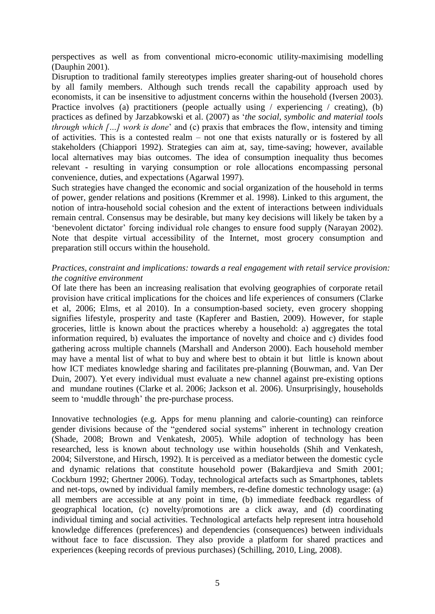perspectives as well as from conventional micro-economic utility-maximising modelling (Dauphin 2001).

Disruption to traditional family stereotypes implies greater sharing-out of household chores by all family members. Although such trends recall the capability approach used by economists, it can be insensitive to adjustment concerns within the household (Iversen 2003). Practice involves (a) practitioners (people actually using / experiencing / creating), (b) practices as defined by Jarzabkowski et al. (2007) as '*the social, symbolic and material tools through which […] work is done*' and (c) praxis that embraces the flow, intensity and timing of activities. This is a contested realm – not one that exists naturally or is fostered by all stakeholders (Chiappori 1992). Strategies can aim at, say, time-saving; however, available local alternatives may bias outcomes. The idea of consumption inequality thus becomes relevant - resulting in varying consumption or role allocations encompassing personal convenience, duties, and expectations (Agarwal 1997).

Such strategies have changed the economic and social organization of the household in terms of power, gender relations and positions (Kremmer et al. 1998). Linked to this argument, the notion of intra-household social cohesion and the extent of interactions between individuals remain central. Consensus may be desirable, but many key decisions will likely be taken by a 'benevolent dictator' forcing individual role changes to ensure food supply (Narayan 2002). Note that despite virtual accessibility of the Internet, most grocery consumption and preparation still occurs within the household.

## *Practices, constraint and implications: towards a real engagement with retail service provision: the cognitive environment*

Of late there has been an increasing realisation that evolving geographies of corporate retail provision have critical implications for the choices and life experiences of consumers (Clarke et al, 2006; Elms, et al 2010). In a consumption-based society, even grocery shopping signifies lifestyle, prosperity and taste (Kapferer and Bastien, 2009). However, for staple groceries, little is known about the practices whereby a household: a) aggregates the total information required, b) evaluates the importance of novelty and choice and c) divides food gathering across multiple channels (Marshall and Anderson 2000). Each household member may have a mental list of what to buy and where best to obtain it but little is known about how ICT mediates knowledge sharing and facilitates pre-planning (Bouwman, and. Van Der Duin, 2007). Yet every individual must evaluate a new channel against pre-existing options and mundane routines (Clarke et al. 2006; Jackson et al. 2006). Unsurprisingly, households seem to 'muddle through' the pre-purchase process.

Innovative technologies (e.g. Apps for menu planning and calorie-counting) can reinforce gender divisions because of the "gendered social systems" inherent in technology creation (Shade, 2008; Brown and Venkatesh, 2005). While adoption of technology has been researched, less is known about technology use within households (Shih and Venkatesh, 2004; Silverstone, and Hirsch, 1992). It is perceived as a mediator between the domestic cycle and dynamic relations that constitute household power (Bakardjieva and Smith 2001; Cockburn 1992; Ghertner 2006). Today, technological artefacts such as Smartphones, tablets and net-tops, owned by individual family members, re-define domestic technology usage: (a) all members are accessible at any point in time, (b) immediate feedback regardless of geographical location, (c) novelty/promotions are a click away, and (d) coordinating individual timing and social activities. Technological artefacts help represent intra household knowledge differences (preferences) and dependencies (consequences) between individuals without face to face discussion. They also provide a platform for shared practices and experiences (keeping records of previous purchases) (Schilling, 2010, Ling, 2008).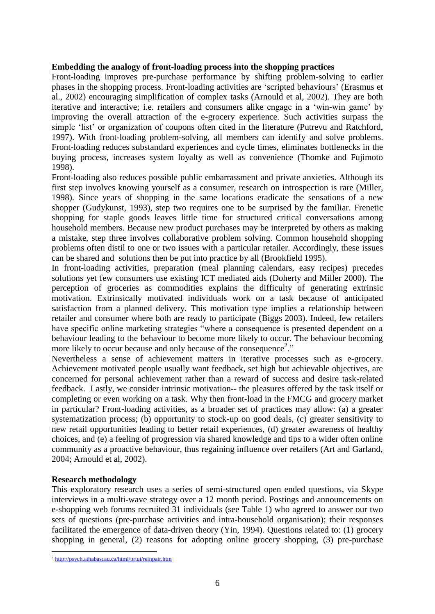#### **Embedding the analogy of front-loading process into the shopping practices**

Front-loading improves pre-purchase performance by shifting problem-solving to earlier phases in the shopping process. Front-loading activities are 'scripted behaviours' (Erasmus et al., 2002) encouraging simplification of complex tasks (Arnould et al, 2002). They are both iterative and interactive; i.e. retailers and consumers alike engage in a 'win-win game' by improving the overall attraction of the e-grocery experience. Such activities surpass the simple 'list' or organization of coupons often cited in the literature (Putrevu and Ratchford, 1997). With front-loading problem-solving, all members can identify and solve problems. Front-loading reduces substandard experiences and cycle times, eliminates bottlenecks in the buying process, increases system loyalty as well as convenience (Thomke and Fujimoto 1998).

Front-loading also reduces possible public embarrassment and private anxieties. Although its first step involves knowing yourself as a consumer, research on introspection is rare (Miller, 1998). Since years of shopping in the same locations eradicate the sensations of a new shopper (Gudykunst, 1993), step two requires one to be surprised by the familiar. Frenetic shopping for staple goods leaves little time for structured critical conversations among household members. Because new product purchases may be interpreted by others as making a mistake, step three involves collaborative problem solving. Common household shopping problems often distil to one or two issues with a particular retailer. Accordingly, these issues can be shared and solutions then be put into practice by all (Brookfield 1995).

In front-loading activities, preparation (meal planning calendars, easy recipes) precedes solutions yet few consumers use existing ICT mediated aids (Doherty and Miller 2000). The perception of groceries as commodities explains the difficulty of generating extrinsic motivation. Extrinsically motivated individuals work on a task because of anticipated satisfaction from a planned delivery. This motivation type implies a relationship between retailer and consumer where both are ready to participate (Biggs 2003). Indeed, few retailers have specific online marketing strategies "where a consequence is presented dependent on a behaviour leading to the behaviour to become more likely to occur. The behaviour becoming more likely to occur because and only because of the consequence<sup>2</sup>."

Nevertheless a sense of achievement matters in iterative processes such as e-grocery. Achievement motivated people usually want feedback, set high but achievable objectives, are concerned for personal achievement rather than a reward of success and desire task-related feedback. Lastly, we consider intrinsic motivation-- the pleasures offered by the task itself or completing or even working on a task. Why then front-load in the FMCG and grocery market in particular? Front-loading activities, as a broader set of practices may allow: (a) a greater systematization process; (b) opportunity to stock-up on good deals, (c) greater sensitivity to new retail opportunities leading to better retail experiences, (d) greater awareness of healthy choices, and (e) a feeling of progression via shared knowledge and tips to a wider often online community as a proactive behaviour, thus regaining influence over retailers (Art and Garland, 2004; Arnould et al, 2002).

### **Research methodology**

1

This exploratory research uses a series of semi-structured open ended questions, via Skype interviews in a multi-wave strategy over a 12 month period. Postings and announcements on e-shopping web forums recruited 31 individuals (see Table 1) who agreed to answer our two sets of questions (pre-purchase activities and intra-household organisation); their responses facilitated the emergence of data-driven theory (Yin, 1994). Questions related to: (1) grocery shopping in general, (2) reasons for adopting online grocery shopping, (3) pre-purchase

<sup>&</sup>lt;sup>2</sup> <http://psych.athabascau.ca/html/prtut/reinpair.htm>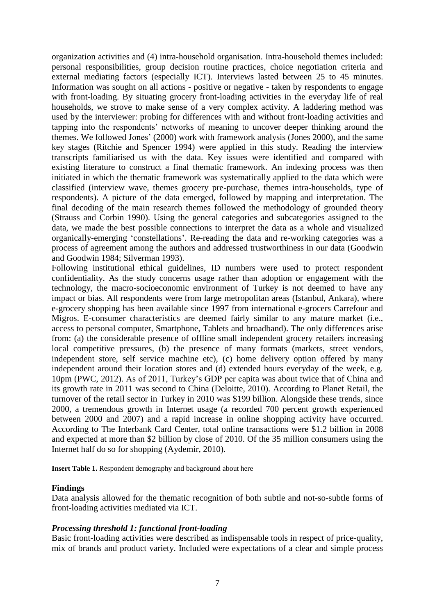organization activities and (4) intra-household organisation. Intra-household themes included: personal responsibilities, group decision routine practices, choice negotiation criteria and external mediating factors (especially ICT). Interviews lasted between 25 to 45 minutes. Information was sought on all actions - positive or negative - taken by respondents to engage with front-loading. By situating grocery front-loading activities in the everyday life of real households, we strove to make sense of a very complex activity. A laddering method was used by the interviewer: probing for differences with and without front-loading activities and tapping into the respondents' networks of meaning to uncover deeper thinking around the themes. We followed Jones' (2000) work with framework analysis (Jones 2000), and the same key stages (Ritchie and Spencer 1994) were applied in this study. Reading the interview transcripts familiarised us with the data. Key issues were identified and compared with existing literature to construct a final thematic framework. An indexing process was then initiated in which the thematic framework was systematically applied to the data which were classified (interview wave, themes grocery pre-purchase, themes intra-households, type of respondents). A picture of the data emerged, followed by mapping and interpretation. The final decoding of the main research themes followed the methodology of grounded theory (Strauss and Corbin 1990). Using the general categories and subcategories assigned to the data, we made the best possible connections to interpret the data as a whole and visualized organically-emerging 'constellations'. Re-reading the data and re-working categories was a process of agreement among the authors and addressed trustworthiness in our data (Goodwin and Goodwin 1984; Silverman 1993).

Following institutional ethical guidelines, ID numbers were used to protect respondent confidentiality. As the study concerns usage rather than adoption or engagement with the technology, the macro-socioeconomic environment of Turkey is not deemed to have any impact or bias. All respondents were from large metropolitan areas (Istanbul, Ankara), where e-grocery shopping has been available since 1997 from international e-grocers Carrefour and Migros. E-consumer characteristics are deemed fairly similar to any mature market (i.e., access to personal computer, Smartphone, Tablets and broadband). The only differences arise from: (a) the considerable presence of offline small independent grocery retailers increasing local competitive pressures, (b) the presence of many formats (markets, street vendors, independent store, self service machine etc), (c) home delivery option offered by many independent around their location stores and (d) extended hours everyday of the week, e.g. 10pm (PWC, 2012). As of 2011, Turkey's GDP per capita was about twice that of China and its growth rate in 2011 was second to China (Deloitte, 2010). According to Planet Retail, the turnover of the retail sector in Turkey in 2010 was \$199 billion. Alongside these trends, since 2000, a tremendous growth in Internet usage (a recorded 700 percent growth experienced between 2000 and 2007) and a rapid increase in online shopping activity have occurred. According to The Interbank Card Center, total online transactions were \$1.2 billion in 2008 and expected at more than \$2 billion by close of 2010. Of the 35 million consumers using the Internet half do so for shopping (Aydemir, 2010).

**Insert Table 1.** Respondent demography and background about here

#### **Findings**

Data analysis allowed for the thematic recognition of both subtle and not-so-subtle forms of front-loading activities mediated via ICT.

### *Processing threshold 1: functional front-loading*

Basic front-loading activities were described as indispensable tools in respect of price-quality, mix of brands and product variety. Included were expectations of a clear and simple process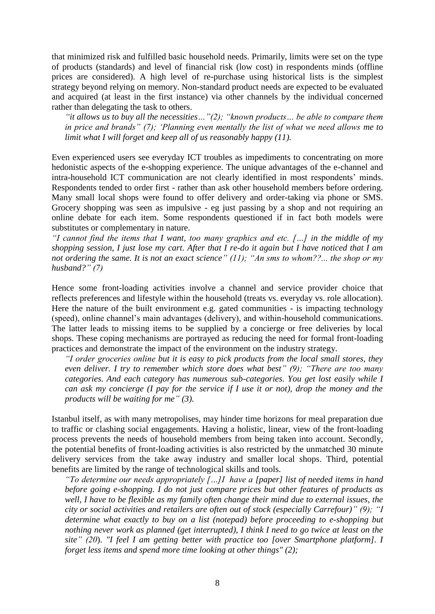that minimized risk and fulfilled basic household needs. Primarily, limits were set on the type of products (standards) and level of financial risk (low cost) in respondents minds (offline prices are considered). A high level of re-purchase using historical lists is the simplest strategy beyond relying on memory. Non-standard product needs are expected to be evaluated and acquired (at least in the first instance) via other channels by the individual concerned rather than delegating the task to others.

*"it allows us to buy all the necessities…"(2); "known products… be able to compare them in price and brands" (7); 'Planning even mentally the list of what we need allows me to limit what I will forget and keep all of us reasonably happy (11).* 

Even experienced users see everyday ICT troubles as impediments to concentrating on more hedonistic aspects of the e-shopping experience. The unique advantages of the e-channel and intra-household ICT communication are not clearly identified in most respondents' minds. Respondents tended to order first - rather than ask other household members before ordering. Many small local shops were found to offer delivery and order-taking via phone or SMS. Grocery shopping was seen as impulsive - eg just passing by a shop and not requiring an online debate for each item. Some respondents questioned if in fact both models were substitutes or complementary in nature.

*"I cannot find the items that I want, too many graphics and etc. […] in the middle of my shopping session, I just lose my cart. After that I re-do it again but I have noticed that I am not ordering the same. It is not an exact science" (11); "An sms to whom??... the shop or my husband?" (7)*

Hence some front-loading activities involve a channel and service provider choice that reflects preferences and lifestyle within the household (treats vs. everyday vs. role allocation). Here the nature of the built environment e.g. gated communities - is impacting technology (speed), online channel's main advantages (delivery), and within-household communications. The latter leads to missing items to be supplied by a concierge or free deliveries by local shops. These coping mechanisms are portrayed as reducing the need for formal front-loading practices and demonstrate the impact of the environment on the industry strategy.

*"I order groceries online but it is easy to pick products from the local small stores, they even deliver. I try to remember which store does what best" (9); "There are too many categories. And each category has numerous sub-categories. You get lost easily while I can ask my concierge (I pay for the service if I use it or not), drop the money and the products will be waiting for me" (3).*

Istanbul itself, as with many metropolises, may hinder time horizons for meal preparation due to traffic or clashing social engagements. Having a holistic, linear, view of the front-loading process prevents the needs of household members from being taken into account. Secondly, the potential benefits of front-loading activities is also restricted by the unmatched 30 minute delivery services from the take away industry and smaller local shops. Third, potential benefits are limited by the range of technological skills and tools.

*"To determine our needs appropriately […]I have a [paper] list of needed items in hand before going e-shopping. I do not just compare prices but other features of products as well, I have to be flexible as my family often change their mind due to external issues, the city or social activities and retailers are often out of stock (especially Carrefour)" (9); "I determine what exactly to buy on a list (notepad) before proceeding to e-shopping but nothing never work as planned (get interrupted), I think I need to go twice at least on the site" (20*). *"I feel I am getting better with practice too [over Smartphone platform]. I forget less items and spend more time looking at other things" (2);*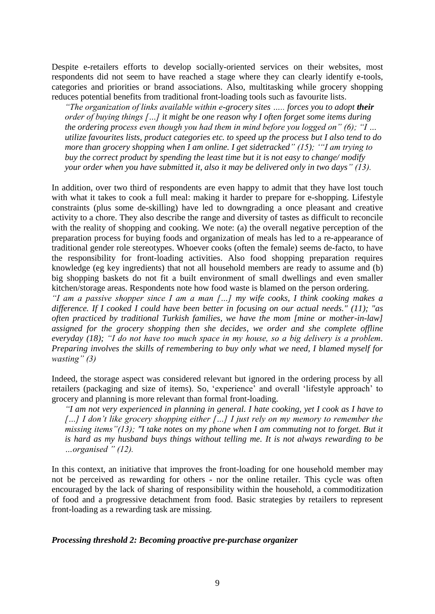Despite e-retailers efforts to develop socially-oriented services on their websites, most respondents did not seem to have reached a stage where they can clearly identify e-tools, categories and priorities or brand associations. Also, multitasking while grocery shopping reduces potential benefits from traditional front-loading tools such as favourite lists.

*"The organization of links available within e-grocery sites ….. forces you to adopt their order of buying things […] it might be one reason why I often forget some items during the ordering process even though you had them in mind before you logged on" (6); "I … utilize favourites lists, product categories etc. to speed up the process but I also tend to do more than grocery shopping when I am online. I get sidetracked" (15); '"I am trying to buy the correct product by spending the least time but it is not easy to change/ modify your order when you have submitted it, also it may be delivered only in two days" (13).*

In addition, over two third of respondents are even happy to admit that they have lost touch with what it takes to cook a full meal: making it harder to prepare for e-shopping. Lifestyle constraints (plus some de-skilling) have led to downgrading a once pleasant and creative activity to a chore. They also describe the range and diversity of tastes as difficult to reconcile with the reality of shopping and cooking. We note: (a) the overall negative perception of the preparation process for buying foods and organization of meals has led to a re-appearance of traditional gender role stereotypes. Whoever cooks (often the female) seems de-facto, to have the responsibility for front-loading activities. Also food shopping preparation requires knowledge (eg key ingredients) that not all household members are ready to assume and (b) big shopping baskets do not fit a built environment of small dwellings and even smaller kitchen/storage areas. Respondents note how food waste is blamed on the person ordering.

*"I am a passive shopper since I am a man […] my wife cooks, I think cooking makes a difference. If I cooked I could have been better in focusing on our actual needs." (11); "as often practiced by traditional Turkish families, we have the mom [mine or mother-in-law] assigned for the grocery shopping then she decides, we order and she complete offline everyday (18); "I do not have too much space in my house, so a big delivery is a problem. Preparing involves the skills of remembering to buy only what we need, I blamed myself for wasting" (3)*

Indeed, the storage aspect was considered relevant but ignored in the ordering process by all retailers (packaging and size of items). So, 'experience' and overall 'lifestyle approach' to grocery and planning is more relevant than formal front-loading.

*"I am not very experienced in planning in general. I hate cooking, yet I cook as I have to […] I don't like grocery shopping either […] I just rely on my memory to remember the missing items"(13); "I take notes on my phone when I am commuting not to forget. But it is hard as my husband buys things without telling me. It is not always rewarding to be …organised " (12).*

In this context, an initiative that improves the front-loading for one household member may not be perceived as rewarding for others - nor the online retailer. This cycle was often encouraged by the lack of sharing of responsibility within the household, a commoditization of food and a progressive detachment from food. Basic strategies by retailers to represent front-loading as a rewarding task are missing.

### *Processing threshold 2: Becoming proactive pre-purchase organizer*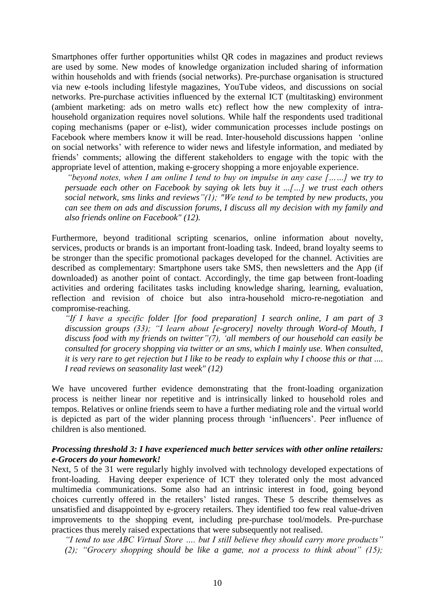Smartphones offer further opportunities whilst QR codes in magazines and product reviews are used by some. New modes of knowledge organization included sharing of information within households and with friends (social networks). Pre-purchase organisation is structured via new e-tools including lifestyle magazines, YouTube videos, and discussions on social networks. Pre-purchase activities influenced by the external ICT (multitasking) environment (ambient marketing: ads on metro walls etc) reflect how the new complexity of intrahousehold organization requires novel solutions. While half the respondents used traditional coping mechanisms (paper or e-list), wider communication processes include postings on Facebook where members know it will be read. Inter-household discussions happen 'online on social networks' with reference to wider news and lifestyle information, and mediated by friends' comments; allowing the different stakeholders to engage with the topic with the appropriate level of attention, making e-grocery shopping a more enjoyable experience.

*"beyond notes, when I am online I tend to buy on impulse in any case [……] we try to persuade each other on Facebook by saying ok lets buy it ...[…] we trust each others social network, sms links and reviews"(1); "We tend to be tempted by new products, you can see them on ads and discussion forums, I discuss all my decision with my family and also friends online on Facebook" (12).* 

Furthermore, beyond traditional scripting scenarios, online information about novelty, services, products or brands is an important front-loading task. Indeed, brand loyalty seems to be stronger than the specific promotional packages developed for the channel. Activities are described as complementary: Smartphone users take SMS, then newsletters and the App (if downloaded) as another point of contact. Accordingly, the time gap between front-loading activities and ordering facilitates tasks including knowledge sharing, learning, evaluation, reflection and revision of choice but also intra-household micro-re-negotiation and compromise-reaching.

*"If I have a specific folder [for food preparation] I search online, I am part of 3 discussion groups (33); "I learn about [e-grocery] novelty through Word-of Mouth, I discuss food with my friends on twitter"(7), 'all members of our household can easily be consulted for grocery shopping via twitter or an sms, which I mainly use. When consulted, it is very rare to get rejection but I like to be ready to explain why I choose this or that .... I read reviews on seasonality last week" (12)*

We have uncovered further evidence demonstrating that the front-loading organization process is neither linear nor repetitive and is intrinsically linked to household roles and tempos. Relatives or online friends seem to have a further mediating role and the virtual world is depicted as part of the wider planning process through 'influencers'. Peer influence of children is also mentioned.

### *Processing threshold 3: I have experienced much better services with other online retailers: e-Grocers do your homework!*

Next, 5 of the 31 were regularly highly involved with technology developed expectations of front-loading. Having deeper experience of ICT they tolerated only the most advanced multimedia communications. Some also had an intrinsic interest in food, going beyond choices currently offered in the retailers' listed ranges. These 5 describe themselves as unsatisfied and disappointed by e-grocery retailers. They identified too few real value-driven improvements to the shopping event, including pre-purchase tool/models. Pre-purchase practices thus merely raised expectations that were subsequently not realised.

*"I tend to use ABC Virtual Store …. but I still believe they should carry more products" (2); "Grocery shopping should be like a game, not a process to think about" (15);*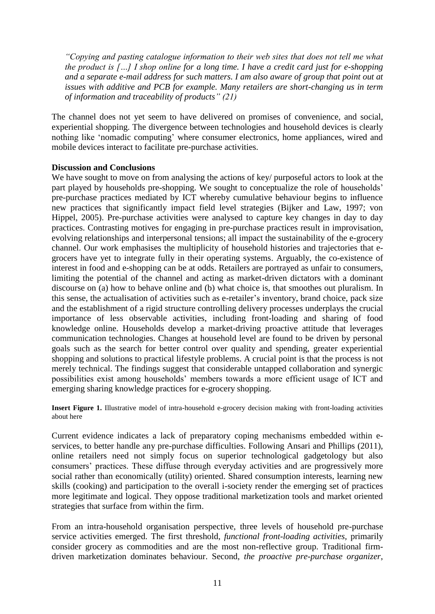*"Copying and pasting catalogue information to their web sites that does not tell me what the product is […] I shop online for a long time. I have a credit card just for e-shopping and a separate e-mail address for such matters. I am also aware of group that point out at issues with additive and PCB for example. Many retailers are short-changing us in term of information and traceability of products" (21)*

The channel does not yet seem to have delivered on promises of convenience, and social, experiential shopping. The divergence between technologies and household devices is clearly nothing like 'nomadic computing' where consumer electronics, home appliances, wired and mobile devices interact to facilitate pre-purchase activities.

### **Discussion and Conclusions**

We have sought to move on from analysing the actions of key/ purposeful actors to look at the part played by households pre-shopping. We sought to conceptualize the role of households' pre-purchase practices mediated by ICT whereby cumulative behaviour begins to influence new practices that significantly impact field level strategies (Bijker and Law, 1997; von Hippel, 2005). Pre-purchase activities were analysed to capture key changes in day to day practices. Contrasting motives for engaging in pre-purchase practices result in improvisation, evolving relationships and interpersonal tensions; all impact the sustainability of the e-grocery channel. Our work emphasises the multiplicity of household histories and trajectories that egrocers have yet to integrate fully in their operating systems. Arguably, the co-existence of interest in food and e-shopping can be at odds. Retailers are portrayed as unfair to consumers, limiting the potential of the channel and acting as market-driven dictators with a dominant discourse on (a) how to behave online and (b) what choice is, that smoothes out pluralism. In this sense, the actualisation of activities such as e-retailer's inventory, brand choice, pack size and the establishment of a rigid structure controlling delivery processes underplays the crucial importance of less observable activities, including front-loading and sharing of food knowledge online. Households develop a market-driving proactive attitude that leverages communication technologies. Changes at household level are found to be driven by personal goals such as the search for better control over quality and spending, greater experiential shopping and solutions to practical lifestyle problems. A crucial point is that the process is not merely technical. The findings suggest that considerable untapped collaboration and synergic possibilities exist among households' members towards a more efficient usage of ICT and emerging sharing knowledge practices for e-grocery shopping.

**Insert Figure 1.** Illustrative model of intra-household e-grocery decision making with front-loading activities about here

Current evidence indicates a lack of preparatory coping mechanisms embedded within eservices, to better handle any pre-purchase difficulties. Following Ansari and Phillips (2011), online retailers need not simply focus on superior technological gadgetology but also consumers' practices. These diffuse through everyday activities and are progressively more social rather than economically (utility) oriented. Shared consumption interests, learning new skills (cooking) and participation to the overall i-society render the emerging set of practices more legitimate and logical. They oppose traditional marketization tools and market oriented strategies that surface from within the firm.

From an intra-household organisation perspective, three levels of household pre-purchase service activities emerged. The first threshold, *functional front-loading activities,* primarily consider grocery as commodities and are the most non-reflective group. Traditional firmdriven marketization dominates behaviour. Second, *the proactive pre-purchase organizer*,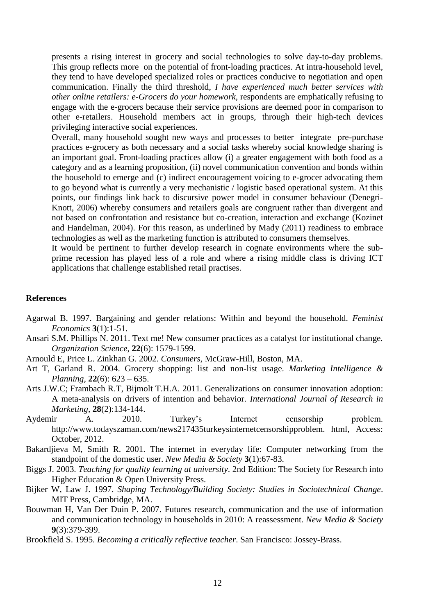presents a rising interest in grocery and social technologies to solve day-to-day problems. This group reflects more on the potential of front-loading practices. At intra-household level, they tend to have developed specialized roles or practices conducive to negotiation and open communication. Finally the third threshold, *I have experienced much better services with other online retailers: e-Grocers do your homework,* respondents are emphatically refusing to engage with the e-grocers because their service provisions are deemed poor in comparison to other e-retailers. Household members act in groups, through their high-tech devices privileging interactive social experiences.

Overall, many household sought new ways and processes to better integrate pre-purchase practices e-grocery as both necessary and a social tasks whereby social knowledge sharing is an important goal. Front-loading practices allow (i) a greater engagement with both food as a category and as a learning proposition, (ii) novel communication convention and bonds within the household to emerge and (c) indirect encouragement voicing to e-grocer advocating them to go beyond what is currently a very mechanistic / logistic based operational system. At this points, our findings link back to discursive power model in consumer behaviour (Denegri-Knott, 2006) whereby consumers and retailers goals are congruent rather than divergent and not based on confrontation and resistance but co-creation, interaction and exchange (Kozinet and Handelman, 2004). For this reason, as underlined by Mady (2011) readiness to embrace technologies as well as the marketing function is attributed to consumers themselves.

It would be pertinent to further develop research in cognate environments where the subprime recession has played less of a role and where a rising middle class is driving ICT applications that challenge established retail practises.

#### **References**

- Agarwal B. 1997. Bargaining and gender relations: Within and beyond the household. *Feminist Economics* **3**(1):1-51.
- Ansari S.M. Phillips N. 2011. Text me! New consumer practices as a catalyst for institutional change. *Organization Science*, **22**(6): 1579-1599.

Arnould E, Price L. Zinkhan G. 2002. *Consumers*, McGraw-Hill, Boston, MA.

- Art T, Garland R. 2004. Grocery shopping: list and non-list usage. *Marketing Intelligence & Planning*, **22**(6): 623 – 635.
- Arts J.W.C; Frambach R.T, Bijmolt T.H.A. 2011. Generalizations on consumer innovation adoption: A meta-analysis on drivers of intention and behavior. *International Journal of Research in Marketing*, **28**(2):134-144.
- Aydemir A. 2010. Turkey's Internet censorship problem. http://www.todayszaman.com/news217435turkeysinternetcensorshipproblem. html, Access: October, 2012.
- Bakardjieva M, Smith R. 2001. The internet in everyday life: Computer networking from the standpoint of the domestic user. *New Media & Society* **3**(1):67-83.
- Biggs J. 2003. *Teaching for quality learning at university*. 2nd Edition: The Society for Research into Higher Education & Open University Press.
- Bijker W, Law J. 1997. *Shaping Technology/Building Society: Studies in Sociotechnical Change*. MIT Press, Cambridge, MA.
- Bouwman H, Van Der Duin P. 2007. Futures research, communication and the use of information and communication technology in households in 2010: A reassessment. *New Media & Society* **9**(3):379-399.
- Brookfield S. 1995. *Becoming a critically reflective teacher*. San Francisco: Jossey-Brass.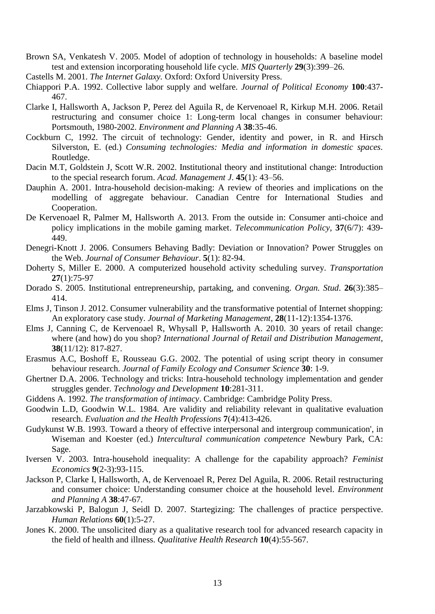- Brown SA, Venkatesh V. 2005. Model of adoption of technology in households: A baseline model test and extension incorporating household life cycle. *MIS Quarterly* **29**(3):399–26.
- Castells M. 2001. *The Internet Galaxy.* Oxford: Oxford University Press.
- Chiappori P.A. 1992. Collective labor supply and welfare. *Journal of Political Economy* **100**:437- 467.
- Clarke I, Hallsworth A, Jackson P, Perez del Aguila R, de Kervenoael R, Kirkup M.H. 2006. Retail restructuring and consumer choice 1: Long-term local changes in consumer behaviour: Portsmouth, 1980-2002. *Environment and Planning A* **38**:35-46.
- Cockburn C, 1992. The circuit of technology: Gender, identity and power, in R. and Hirsch Silverston, E. (ed.) *Consuming technologies: Media and information in domestic spaces.* Routledge.
- Dacin M.T, Goldstein J, Scott W.R. 2002. Institutional theory and institutional change: Introduction to the special research forum. *Acad. Management J*. **45**(1): 43–56.
- Dauphin A. 2001. Intra-household decision-making: A review of theories and implications on the modelling of aggregate behaviour. Canadian Centre for International Studies and Cooperation.
- De Kervenoael R, Palmer M, Hallsworth A. 2013. From the outside in: Consumer anti-choice and policy implications in the mobile gaming market. *Telecommunication Policy*, **37**(6/7): 439- 449.
- Denegri-Knott J. 2006. Consumers Behaving Badly: Deviation or Innovation? Power Struggles on the Web. *Journal of Consumer Behaviour*. **5**(1): 82-94.
- Doherty S, Miller E. 2000. A computerized household activity scheduling survey. *Transportation*  **27**(1):75-97
- Dorado S. 2005. Institutional entrepreneurship, partaking, and convening. *Organ. Stud*. **26**(3):385– 414.
- Elms J, Tinson J. 2012. Consumer vulnerability and the transformative potential of Internet shopping: An exploratory case study. *Journal of Marketing Management*, **28**(11-12):1354-1376.
- Elms J, Canning C, de Kervenoael R, Whysall P, Hallsworth A. 2010. 30 years of retail change: where (and how) do you shop? *International Journal of Retail and Distribution Management*, **38**(11/12): 817-827.
- Erasmus A.C, Boshoff E, Rousseau G.G. 2002. The potential of using script theory in consumer behaviour research. *Journal of Family Ecology and Consumer Science* **30**: 1-9.
- Ghertner D.A. 2006. Technology and tricks: Intra-household technology implementation and gender struggles gender. *Technology and Development* **10**:281-311.
- Giddens A. 1992. *The transformation of intimacy*. Cambridge: Cambridge Polity Press.
- Goodwin L.D, Goodwin W.L. 1984. Are validity and reliability relevant in qualitative evaluation research. *Evaluation and the Health Professions* **7**(4):413-426.
- Gudykunst W.B. 1993. Toward a theory of effective interpersonal and intergroup communication', in Wiseman and Koester (ed.) *Intercultural communication competence* Newbury Park, CA: Sage.
- Iversen V. 2003. Intra-household inequality: A challenge for the capability approach? *Feminist Economics* **9**(2-3):93-115.
- Jackson P, Clarke I, Hallsworth, A, de Kervenoael R, Perez Del Aguila, R. 2006. Retail restructuring and consumer choice: Understanding consumer choice at the household level. *Environment and Planning A* **38**:47-67.
- Jarzabkowski P, Balogun J, Seidl D. 2007. Startegizing: The challenges of practice perspective. *Human Relations* **60**(1):5-27.
- Jones K. 2000. The unsolicited diary as a qualitative research tool for advanced research capacity in the field of health and illness. *Qualitative Health Research* **10**(4):55-567.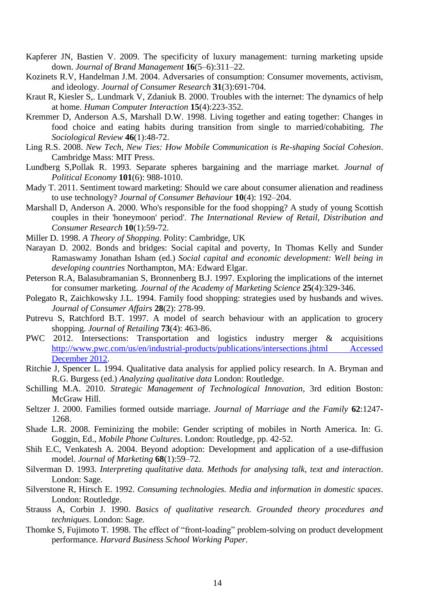- Kapferer JN, Bastien V. 2009. The specificity of luxury management: turning marketing upside down. *Journal of Brand Management* **16**(5–6):311–22.
- Kozinets R.V, Handelman J.M. 2004. Adversaries of consumption: Consumer movements, activism, and ideology. *Journal of Consumer Research* **31**(3):691-704.
- Kraut R, Kiesler S,. Lundmark V, Zdaniuk B. 2000. Troubles with the internet: The dynamics of help at home. *Human Computer Interaction* **15**(4):223-352.
- Kremmer D, Anderson A.S, Marshall D.W. 1998. Living together and eating together: Changes in food choice and eating habits during transition from single to married/cohabiting. *The Sociological Review* **46**(1):48-72.
- Ling R.S. 2008. *New Tech, New Ties: How Mobile Communication is Re-shaping Social Cohesion*. Cambridge Mass: MIT Press.
- Lundberg S,Pollak R. 1993. Separate spheres bargaining and the marriage market. *Journal of Political Economy* **101**(6): 988-1010.
- Mady T. 2011. Sentiment toward marketing: Should we care about consumer alienation and readiness to use technology? *Journal of Consumer Behaviour* **10**(4): 192–204.
- Marshall D, Anderson A. 2000. Who's responsible for the food shopping? A study of young Scottish couples in their 'honeymoon' period'. *The International Review of Retail, Distribution and Consumer Research* **10**(1):59-72.
- Miller D. 1998. *A Theory of Shopping.* Polity: Cambridge, UK
- Narayan D. 2002. Bonds and bridges: Social capital and poverty, In Thomas Kelly and Sunder Ramaswamy Jonathan Isham (ed.) *Social capital and economic development: Well being in developing countries* Northampton, MA: Edward Elgar.
- Peterson R.A, Balasubramanian S, Bronnenberg B.J. 1997. Exploring the implications of the internet for consumer marketing. *Journal of the Academy of Marketing Science* **25**(4):329-346.
- Polegato R, Zaichkowsky J.L. 1994. Family food shopping: strategies used by husbands and wives. *Journal of Consumer Affairs* **28**(2): 278-99.
- Putrevu S, Ratchford B.T. 1997. A model of search behaviour with an application to grocery shopping. *Journal of Retailing* **73**(4): 463-86.
- PWC 2012. Intersections: Transportation and logistics industry merger & acquisitions [http://www.pwc.com/us/en/industrial-products/publications/intersections.jhtml Accessed](http://www.pwc.com/us/en/industrial-products/publications/intersections.jhtml%20Accessed%20December%202012)  [December 2012.](http://www.pwc.com/us/en/industrial-products/publications/intersections.jhtml%20Accessed%20December%202012)
- Ritchie J, Spencer L. 1994. Qualitative data analysis for applied policy research. In A. Bryman and R.G. Burgess (ed.) *Analyzing qualitative data* London: Routledge.
- Schilling M.A. 2010. *Strategic Management of Technological Innovation*, 3rd edition Boston: McGraw Hill.
- Seltzer J. 2000. Families formed outside marriage. *Journal of Marriage and the Family* **62**:1247- 1268.
- Shade L.R. 2008. Feminizing the mobile: Gender scripting of mobiles in North America. In: G. Goggin, Ed., *Mobile Phone Cultures*. London: Routledge, pp. 42-52.
- Shih E.C, Venkatesh A. 2004. Beyond adoption: Development and application of a use-diffusion model. *Journal of Marketing* **68**(1):59–72.
- Silverman D. 1993. *Interpreting qualitative data. Methods for analysing talk, text and interaction*. London: Sage.
- Silverstone R, Hirsch E. 1992. *Consuming technologies. Media and information in domestic spaces*. London: Routledge.
- Strauss A, Corbin J. 1990. *Basics of qualitative research. Grounded theory procedures and techniques*. London: Sage.
- Thomke S, Fujimoto T. 1998. The effect of "front-loading" problem-solving on product development performance. *Harvard Business School Working Paper*.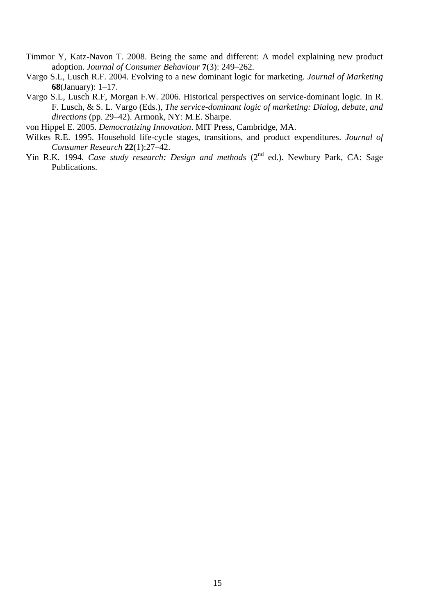- Timmor Y, Katz-Navon T. 2008. Being the same and different: A model explaining new product adoption. *Journal of Consumer Behaviour* **7**(3): 249–262.
- Vargo S.L, Lusch R.F. 2004. Evolving to a new dominant logic for marketing. *Journal of Marketing* **68**(January): 1–17.
- Vargo S.L, Lusch R.F, Morgan F.W. 2006. Historical perspectives on service-dominant logic. In R. F. Lusch, & S. L. Vargo (Eds.), *The service-dominant logic of marketing: Dialog, debate, and directions* (pp. 29–42). Armonk, NY: M.E. Sharpe.
- von Hippel E. 2005. *Democratizing Innovation*. MIT Press, Cambridge, MA.
- Wilkes R.E. 1995. Household life-cycle stages, transitions, and product expenditures. *Journal of Consumer Research* **22**(1):27–42.
- Yin R.K. 1994. *Case study research: Design and methods* (2<sup>nd</sup> ed.). Newbury Park, CA: Sage Publications.